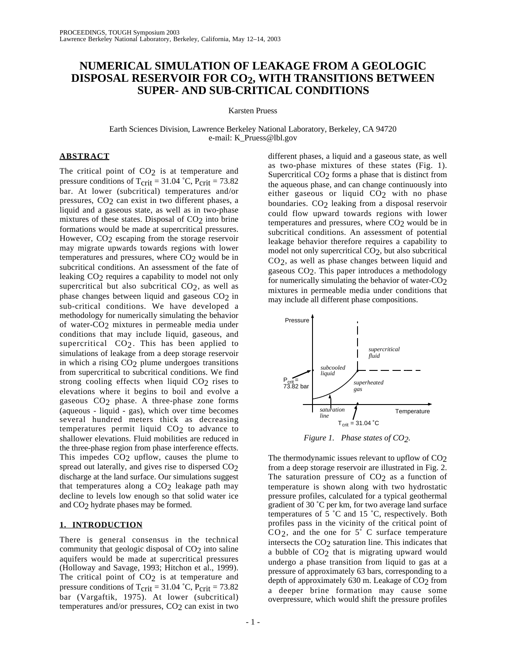# **NUMERICAL SIMULATION OF LEAKAGE FROM A GEOLOGIC DISPOSAL RESERVOIR FOR CO2, WITH TRANSITIONS BETWEEN SUPER- AND SUB-CRITICAL CONDITIONS**

Karsten Pruess

Earth Sciences Division, Lawrence Berkeley National Laboratory, Berkeley, CA 94720 e-mail: K\_Pruess@lbl.gov

# **ABSTRACT**

The critical point of  $CO<sub>2</sub>$  is at temperature and pressure conditions of  $T_{\text{crit}} = 31.04 \text{ °C}$ ,  $P_{\text{crit}} = 73.82$ bar. At lower (subcritical) temperatures and/or pressures, CO<sub>2</sub> can exist in two different phases, a liquid and a gaseous state, as well as in two-phase mixtures of these states. Disposal of  $CO<sub>2</sub>$  into brine formations would be made at supercritical pressures. However, CO<sub>2</sub> escaping from the storage reservoir may migrate upwards towards regions with lower temperatures and pressures, where  $CO<sub>2</sub>$  would be in subcritical conditions. An assessment of the fate of leaking CO2 requires a capability to model not only supercritical but also subcritical CO2, as well as phase changes between liquid and gaseous CO2 in sub-critical conditions. We have developed a methodology for numerically simulating the behavior of water-CO2 mixtures in permeable media under conditions that may include liquid, gaseous, and supercritical CO<sub>2</sub>. This has been applied to simulations of leakage from a deep storage reservoir in which a rising CO2 plume undergoes transitions from supercritical to subcritical conditions. We find strong cooling effects when liquid  $CO<sub>2</sub>$  rises to elevations where it begins to boil and evolve a gaseous CO2 phase. A three-phase zone forms (aqueous - liquid - gas), which over time becomes several hundred meters thick as decreasing temperatures permit liquid  $CO<sub>2</sub>$  to advance to shallower elevations. Fluid mobilities are reduced in the three-phase region from phase interference effects. This impedes CO<sub>2</sub> upflow, causes the plume to spread out laterally, and gives rise to dispersed CO2 discharge at the land surface. Our simulations suggest that temperatures along a  $CO<sub>2</sub>$  leakage path may decline to levels low enough so that solid water ice and CO2 hydrate phases may be formed.

## **1. INTRODUCTION**

There is general consensus in the technical community that geologic disposal of CO<sub>2</sub> into saline aquifers would be made at supercritical pressures (Holloway and Savage, 1993; Hitchon et al., 1999). The critical point of  $CO<sub>2</sub>$  is at temperature and pressure conditions of  $T_{\text{crit}} = 31.04 \text{ °C}$ ,  $P_{\text{crit}} = 73.82$ bar (Vargaftik, 1975). At lower (subcritical) temperatures and/or pressures, CO<sub>2</sub> can exist in two

different phases, a liquid and a gaseous state, as well as two-phase mixtures of these states (Fig. 1). Supercritical CO<sub>2</sub> forms a phase that is distinct from the aqueous phase, and can change continuously into either gaseous or liquid  $CO<sub>2</sub>$  with no phase boundaries. CO2 leaking from a disposal reservoir could flow upward towards regions with lower temperatures and pressures, where  $CO<sub>2</sub>$  would be in subcritical conditions. An assessment of potential leakage behavior therefore requires a capability to model not only supercritical CO2, but also subcritical CO2, as well as phase changes between liquid and gaseous CO2. This paper introduces a methodology for numerically simulating the behavior of water-CO2 mixtures in permeable media under conditions that may include all different phase compositions.



*Figure 1. Phase states of CO2.*

The thermodynamic issues relevant to upflow of  $CO<sub>2</sub>$ from a deep storage reservoir are illustrated in Fig. 2. The saturation pressure of  $CO<sub>2</sub>$  as a function of temperature is shown along with two hydrostatic pressure profiles, calculated for a typical geothermal gradient of 30 ˚C per km, for two average land surface temperatures of 5 ˚C and 15 ˚C, respectively. Both profiles pass in the vicinity of the critical point of  $CO<sub>2</sub>$ , and the one for  $5^{\circ}$  C surface temperature intersects the CO2 saturation line. This indicates that a bubble of CO<sub>2</sub> that is migrating upward would undergo a phase transition from liquid to gas at a pressure of approximately 63 bars, corresponding to a depth of approximately  $630$  m. Leakage of  $CO<sub>2</sub>$  from a deeper brine formation may cause some overpressure, which would shift the pressure profiles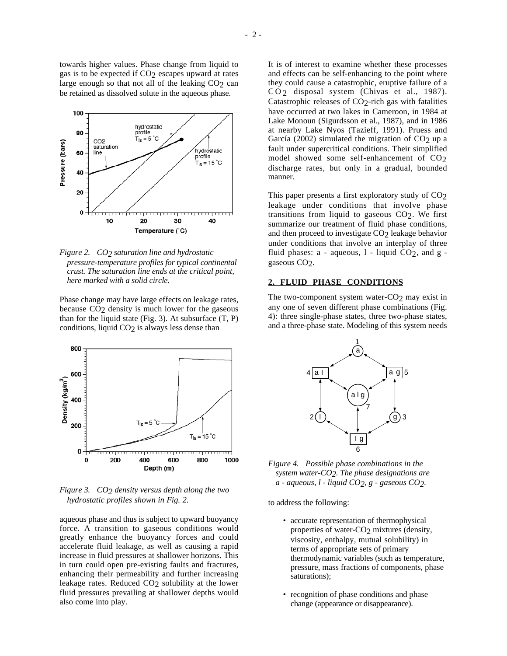towards higher values. Phase change from liquid to gas is to be expected if  $CO<sub>2</sub>$  escapes upward at rates large enough so that not all of the leaking  $CO<sub>2</sub>$  can be retained as dissolved solute in the aqueous phase.



*Figure 2. CO2 saturation line and hydrostatic pressure-temperature profiles for typical continental crust. The saturation line ends at the critical point, here marked with a solid circle.*

Phase change may have large effects on leakage rates, because CO2 density is much lower for the gaseous than for the liquid state (Fig. 3). At subsurface  $(T, P)$ conditions, liquid CO<sub>2</sub> is always less dense than



*Figure 3. CO2 density versus depth along the two hydrostatic profiles shown in Fig. 2.*

aqueous phase and thus is subject to upward buoyancy force. A transition to gaseous conditions would greatly enhance the buoyancy forces and could accelerate fluid leakage, as well as causing a rapid increase in fluid pressures at shallower horizons. This in turn could open pre-existing faults and fractures, enhancing their permeability and further increasing leakage rates. Reduced  $CO<sub>2</sub>$  solubility at the lower fluid pressures prevailing at shallower depths would also come into play.

It is of interest to examine whether these processes and effects can be self-enhancing to the point where they could cause a catastrophic, eruptive failure of a CO<sub>2</sub> disposal system (Chivas et al., 1987). Catastrophic releases of CO2-rich gas with fatalities have occurred at two lakes in Cameroon, in 1984 at Lake Monoun (Sigurdsson et al., 1987), and in 1986 at nearby Lake Nyos (Tazieff, 1991). Pruess and García (2002) simulated the migration of  $CO<sub>2</sub>$  up a fault under supercritical conditions. Their simplified model showed some self-enhancement of CO<sub>2</sub> discharge rates, but only in a gradual, bounded manner.

This paper presents a first exploratory study of  $CO<sub>2</sub>$ leakage under conditions that involve phase transitions from liquid to gaseous  $CO<sub>2</sub>$ . We first summarize our treatment of fluid phase conditions, and then proceed to investigate CO<sub>2</sub> leakage behavior under conditions that involve an interplay of three fluid phases:  $a - aqueous$ ,  $l - hiquid CO<sub>2</sub>$ , and  $g - h'$ gaseous CO<sub>2</sub>.

## **2. FLUID PHASE CONDITIONS**

The two-component system water- $CO<sub>2</sub>$  may exist in any one of seven different phase combinations (Fig. 4): three single-phase states, three two-phase states, and a three-phase state. Modeling of this system needs



*Figure 4. Possible phase combinations in the system water-CO2. The phase designations are a - aqueous, l - liquid CO2, g - gaseous CO2.*

to address the following:

- accurate representation of thermophysical properties of water-CO<sub>2</sub> mixtures (density, viscosity, enthalpy, mutual solubility) in terms of appropriate sets of primary thermodynamic variables (such as temperature, pressure, mass fractions of components, phase saturations);
- recognition of phase conditions and phase change (appearance or disappearance).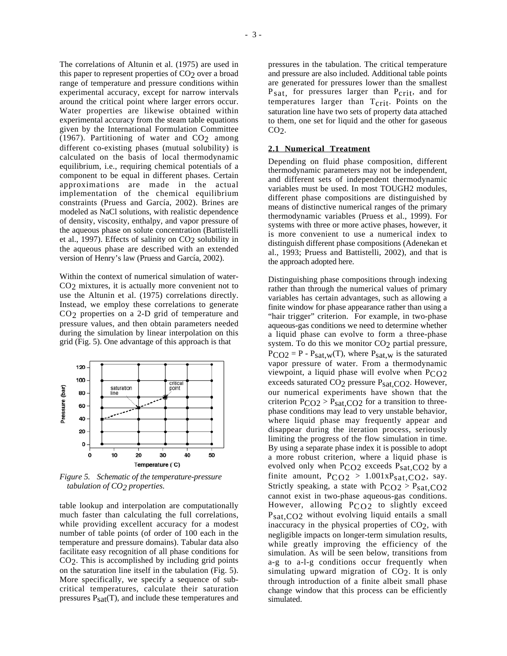The correlations of Altunin et al. (1975) are used in this paper to represent properties of  $CO<sub>2</sub>$  over a broad range of temperature and pressure conditions within experimental accuracy, except for narrow intervals around the critical point where larger errors occur. Water properties are likewise obtained within experimental accuracy from the steam table equations given by the International Formulation Committee (1967). Partitioning of water and  $CO<sub>2</sub>$  among different co-existing phases (mutual solubility) is calculated on the basis of local thermodynamic equilibrium, i.e., requiring chemical potentials of a component to be equal in different phases. Certain approximations are made in the actual implementation of the chemical equilibrium constraints (Pruess and García, 2002). Brines are modeled as NaCl solutions, with realistic dependence of density, viscosity, enthalpy, and vapor pressure of the aqueous phase on solute concentration (Battistelli et al., 1997). Effects of salinity on CO<sub>2</sub> solubility in the aqueous phase are described with an extended version of Henry's law (Pruess and García, 2002).

Within the context of numerical simulation of water-CO2 mixtures, it is actually more convenient not to use the Altunin et al. (1975) correlations directly. Instead, we employ these correlations to generate CO2 properties on a 2-D grid of temperature and pressure values, and then obtain parameters needed during the simulation by linear interpolation on this grid (Fig. 5). One advantage of this approach is that



*Figure 5. Schematic of the temperature-pressure tabulation of CO2 properties.*

table lookup and interpolation are computationally much faster than calculating the full correlations, while providing excellent accuracy for a modest number of table points (of order of 100 each in the temperature and pressure domains). Tabular data also facilitate easy recognition of all phase conditions for CO2. This is accomplished by including grid points on the saturation line itself in the tabulation (Fig. 5). More specifically, we specify a sequence of subcritical temperatures, calculate their saturation pressures  $P_{sat}(T)$ , and include these temperatures and

pressures in the tabulation. The critical temperature and pressure are also included. Additional table points are generated for pressures lower than the smallest P<sub>sat,</sub> for pressures larger than P<sub>crit</sub>, and for temperatures larger than  $T_{\text{crit}}$ . Points on the saturation line have two sets of property data attached to them, one set for liquid and the other for gaseous  $CO<sub>2</sub>$ .

# **2.1 Numerical Treatment**

Depending on fluid phase composition, different thermodynamic parameters may not be independent, and different sets of independent thermodynamic variables must be used. In most TOUGH2 modules, different phase compositions are distinguished by means of distinctive numerical ranges of the primary thermodynamic variables (Pruess et al., 1999). For systems with three or more active phases, however, it is more convenient to use a numerical index to distinguish different phase compositions (Adenekan et al., 1993; Pruess and Battistelli, 2002), and that is the approach adopted here.

Distinguishing phase compositions through indexing rather than through the numerical values of primary variables has certain advantages, such as allowing a finite window for phase appearance rather than using a "hair trigger" criterion. For example, in two-phase aqueous-gas conditions we need to determine whether a liquid phase can evolve to form a three-phase system. To do this we monitor CO<sub>2</sub> partial pressure,  $P_{CO2} = P - P_{sat,w}(T)$ , where  $P_{sat,w}$  is the saturated vapor pressure of water. From a thermodynamic viewpoint, a liquid phase will evolve when PCO2 exceeds saturated CO<sub>2</sub> pressure P<sub>sat,CO2</sub>. However, our numerical experiments have shown that the criterion  $P_{CO2} > P_{sat,CO2}$  for a transition to threephase conditions may lead to very unstable behavior, where liquid phase may frequently appear and disappear during the iteration process, seriously limiting the progress of the flow simulation in time. By using a separate phase index it is possible to adopt a more robust criterion, where a liquid phase is evolved only when  $P_{CO2}$  exceeds  $P_{sat,CO2}$  by a finite amount,  $P_{CO2} > 1.001xP_{sat,CO2}$ , say. Strictly speaking, a state with  $PCO2 > P<sub>sat,CO2</sub>$ cannot exist in two-phase aqueous-gas conditions. However, allowing PCO2 to slightly exceed Psat,CO2 without evolving liquid entails a small inaccuracy in the physical properties of  $CO<sub>2</sub>$ , with negligible impacts on longer-term simulation results, while greatly improving the efficiency of the simulation. As will be seen below, transitions from a-g to a-l-g conditions occur frequently when simulating upward migration of CO2. It is only through introduction of a finite albeit small phase change window that this process can be efficiently simulated.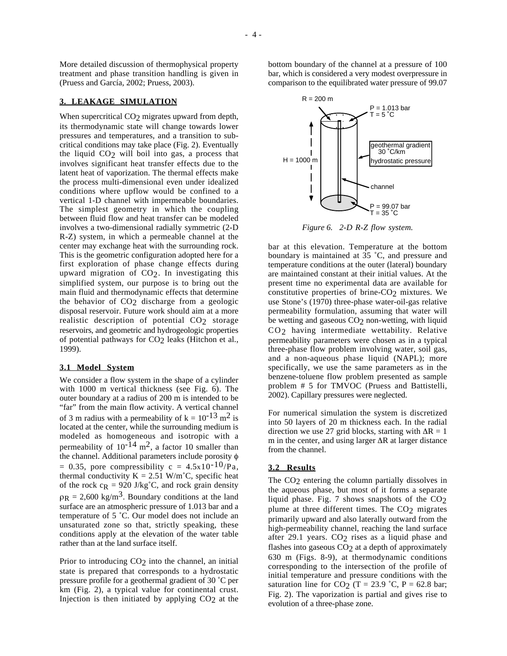More detailed discussion of thermophysical property treatment and phase transition handling is given in (Pruess and García, 2002; Pruess, 2003).

#### **3. LEAKAGE SIMULATION**

When supercritical CO<sub>2</sub> migrates upward from depth, its thermodynamic state will change towards lower pressures and temperatures, and a transition to subcritical conditions may take place (Fig. 2). Eventually the liquid CO2 will boil into gas, a process that involves significant heat transfer effects due to the latent heat of vaporization. The thermal effects make the process multi-dimensional even under idealized conditions where upflow would be confined to a vertical 1-D channel with impermeable boundaries. The simplest geometry in which the coupling between fluid flow and heat transfer can be modeled involves a two-dimensional radially symmetric (2-D R-Z) system, in which a permeable channel at the center may exchange heat with the surrounding rock. This is the geometric configuration adopted here for a first exploration of phase change effects during upward migration of CO2. In investigating this simplified system, our purpose is to bring out the main fluid and thermodynamic effects that determine the behavior of  $CO<sub>2</sub>$  discharge from a geologic disposal reservoir. Future work should aim at a more realistic description of potential CO<sub>2</sub> storage reservoirs, and geometric and hydrogeologic properties of potential pathways for CO<sub>2</sub> leaks (Hitchon et al., 1999).

## **3.1 Model System**

We consider a flow system in the shape of a cylinder with 1000 m vertical thickness (see Fig. 6). The outer boundary at a radius of 200 m is intended to be "far" from the main flow activity. A vertical channel of 3 m radius with a permeability of  $k = 10^{-13}$  m<sup>2</sup> is located at the center, while the surrounding medium is modeled as homogeneous and isotropic with a permeability of  $10^{-14}$  m<sup>2</sup>, a factor 10 smaller than the channel. Additional parameters include porosity φ = 0.35, pore compressibility c =  $4.5x10^{-10}/Pa$ , thermal conductivity  $K = 2.51$  W/m<sup>°</sup>C, specific heat of the rock  $c_R = 920$  J/kg<sup>°</sup>C, and rock grain density  $\rho_R = 2{,}600 \text{ kg/m}^3$ . Boundary conditions at the land surface are an atmospheric pressure of 1.013 bar and a temperature of 5 ˚C. Our model does not include an unsaturated zone so that, strictly speaking, these conditions apply at the elevation of the water table rather than at the land surface itself.

Prior to introducing CO<sub>2</sub> into the channel, an initial state is prepared that corresponds to a hydrostatic pressure profile for a geothermal gradient of 30 ˚C per km (Fig. 2), a typical value for continental crust. Injection is then initiated by applying  $CO<sub>2</sub>$  at the

bottom boundary of the channel at a pressure of 100 bar, which is considered a very modest overpressure in comparison to the equilibrated water pressure of 99.07



*Figure 6. 2-D R-Z flow system.*

bar at this elevation. Temperature at the bottom boundary is maintained at 35 ˚C, and pressure and temperature conditions at the outer (lateral) boundary are maintained constant at their initial values. At the present time no experimental data are available for constitutive properties of brine- $CO<sub>2</sub>$  mixtures. We use Stone's (1970) three-phase water-oil-gas relative permeability formulation, assuming that water will be wetting and gaseous CO<sub>2</sub> non-wetting, with liquid CO2 having intermediate wettability. Relative permeability parameters were chosen as in a typical three-phase flow problem involving water, soil gas, and a non-aqueous phase liquid (NAPL); more specifically, we use the same parameters as in the benzene-toluene flow problem presented as sample problem # 5 for TMVOC (Pruess and Battistelli, 2002). Capillary pressures were neglected.

For numerical simulation the system is discretized into 50 layers of 20 m thickness each. In the radial direction we use 27 grid blocks, starting with  $\Delta R = 1$ m in the center, and using larger ∆R at larger distance from the channel.

#### **3.2 Results**

The CO<sub>2</sub> entering the column partially dissolves in the aqueous phase, but most of it forms a separate liquid phase. Fig. 7 shows snapshots of the CO2 plume at three different times. The CO<sub>2</sub> migrates primarily upward and also laterally outward from the high-permeability channel, reaching the land surface after 29.1 years.  $CO<sub>2</sub>$  rises as a liquid phase and flashes into gaseous CO<sub>2</sub> at a depth of approximately 630 m (Figs. 8-9), at thermodynamic conditions corresponding to the intersection of the profile of initial temperature and pressure conditions with the saturation line for CO<sub>2</sub> (T = 23.9 °C, P = 62.8 bar; Fig. 2). The vaporization is partial and gives rise to evolution of a three-phase zone.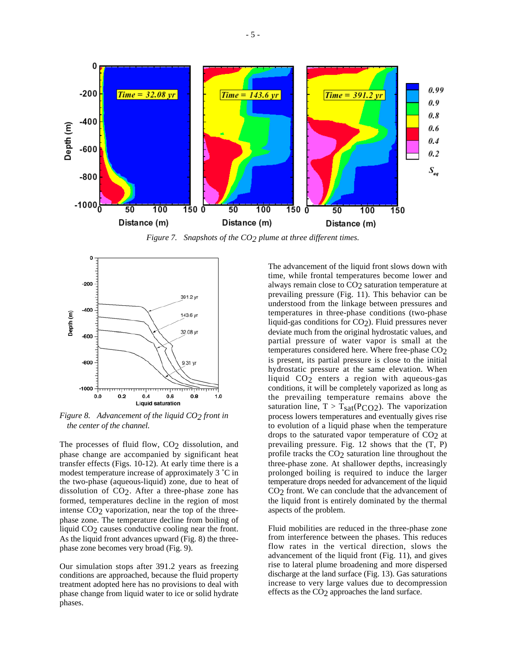

*Figure 7. Snapshots of the CO2 plume at three different times.*



*Figure 8. Advancement of the liquid CO2 front in the center of the channel.*

The processes of fluid flow, CO<sub>2</sub> dissolution, and phase change are accompanied by significant heat transfer effects (Figs. 10-12). At early time there is a modest temperature increase of approximately 3 ˚C in the two-phase (aqueous-liquid) zone, due to heat of dissolution of  $CO<sub>2</sub>$ . After a three-phase zone has formed, temperatures decline in the region of most intense CO2 vaporization, near the top of the threephase zone. The temperature decline from boiling of liquid CO2 causes conductive cooling near the front. As the liquid front advances upward (Fig. 8) the threephase zone becomes very broad (Fig. 9).

Our simulation stops after 391.2 years as freezing conditions are approached, because the fluid property treatment adopted here has no provisions to deal with phase change from liquid water to ice or solid hydrate phases.

The advancement of the liquid front slows down with time, while frontal temperatures become lower and always remain close to CO<sub>2</sub> saturation temperature at prevailing pressure (Fig. 11). This behavior can be understood from the linkage between pressures and temperatures in three-phase conditions (two-phase liquid-gas conditions for  $CO<sub>2</sub>$ ). Fluid pressures never deviate much from the original hydrostatic values, and partial pressure of water vapor is small at the temperatures considered here. Where free-phase CO2 is present, its partial pressure is close to the initial hydrostatic pressure at the same elevation. When liquid CO2 enters a region with aqueous-gas conditions, it will be completely vaporized as long as the prevailing temperature remains above the saturation line,  $T > T_{sat}(P_{CO2})$ . The vaporization process lowers temperatures and eventually gives rise to evolution of a liquid phase when the temperature drops to the saturated vapor temperature of  $CO<sub>2</sub>$  at prevailing pressure. Fig. 12 shows that the (T, P) profile tracks the CO<sub>2</sub> saturation line throughout the three-phase zone. At shallower depths, increasingly prolonged boiling is required to induce the larger temperature drops needed for advancement of the liquid CO<sub>2</sub> front. We can conclude that the advancement of the liquid front is entirely dominated by the thermal aspects of the problem.

Fluid mobilities are reduced in the three-phase zone from interference between the phases. This reduces flow rates in the vertical direction, slows the advancement of the liquid front (Fig. 11), and gives rise to lateral plume broadening and more dispersed discharge at the land surface (Fig. 13). Gas saturations increase to very large values due to decompression effects as the CO2 approaches the land surface.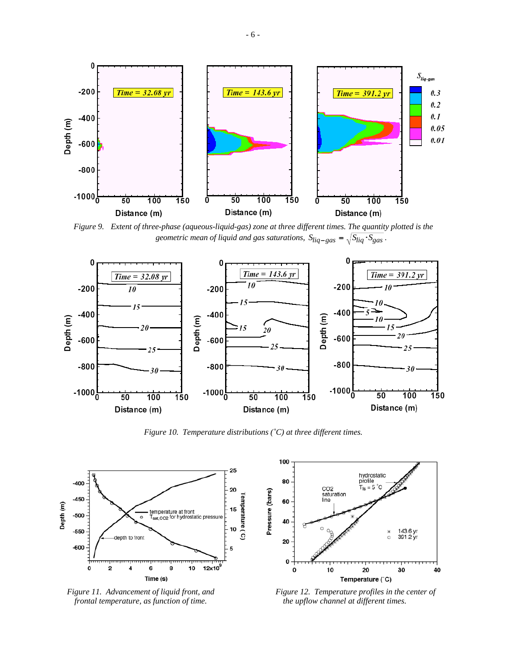

*Figure 9. Extent of three-phase (aqueous-liquid-gas) zone at three different times. The quantity plotted is the geometric mean of liquid and gas saturations,*  $S_{liq-gas} = \sqrt{S_{liq} \cdot S_{gas}}$ .



*Figure 10. Temperature distributions (˚C) at three different times.*



*Figure 11. Advancement of liquid front, and frontal temperature, as function of time.*



*Figure 12. Temperature profiles in the center of the upflow channel at different times.*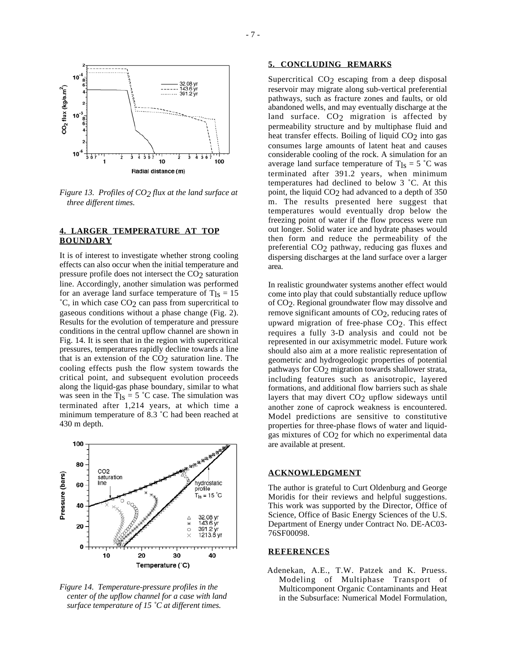

*Figure 13. Profiles of CO2 flux at the land surface at three different times.*

# **4. LARGER TEMPERATURE AT TOP BOUNDARY**

It is of interest to investigate whether strong cooling effects can also occur when the initial temperature and pressure profile does not intersect the CO<sub>2</sub> saturation line. Accordingly, another simulation was performed for an average land surface temperature of  $T_{\text{ls}} = 15$  $^{\circ}$ C, in which case CO<sub>2</sub> can pass from supercritical to gaseous conditions without a phase change (Fig. 2). Results for the evolution of temperature and pressure conditions in the central upflow channel are shown in Fig. 14. It is seen that in the region with supercritical pressures, temperatures rapidly decline towards a line that is an extension of the  $CO<sub>2</sub>$  saturation line. The cooling effects push the flow system towards the critical point, and subsequent evolution proceeds along the liquid-gas phase boundary, similar to what was seen in the  $T_{\text{ls}} = 5 \text{ °C}$  case. The simulation was terminated after 1,214 years, at which time a minimum temperature of 8.3 ˚C had been reached at 430 m depth.



*Figure 14. Temperature-pressure profiles in the center of the upflow channel for a case with land surface temperature of 15 ˚C at different times.*

## **5. CONCLUDING REMARKS**

Supercritical CO<sub>2</sub> escaping from a deep disposal reservoir may migrate along sub-vertical preferential pathways, such as fracture zones and faults, or old abandoned wells, and may eventually discharge at the land surface. CO<sub>2</sub> migration is affected by permeability structure and by multiphase fluid and heat transfer effects. Boiling of liquid  $CO<sub>2</sub>$  into gas consumes large amounts of latent heat and causes considerable cooling of the rock. A simulation for an average land surface temperature of  $T_{\text{ls}} = 5 \text{ °C}$  was terminated after 391.2 years, when minimum temperatures had declined to below 3 ˚C. At this point, the liquid  $CO<sub>2</sub>$  had advanced to a depth of 350 m. The results presented here suggest that temperatures would eventually drop below the freezing point of water if the flow process were run out longer. Solid water ice and hydrate phases would then form and reduce the permeability of the preferential CO<sub>2</sub> pathway, reducing gas fluxes and dispersing discharges at the land surface over a larger area.

In realistic groundwater systems another effect would come into play that could substantially reduce upflow of CO2. Regional groundwater flow may dissolve and remove significant amounts of CO<sub>2</sub>, reducing rates of upward migration of free-phase CO2. This effect requires a fully 3-D analysis and could not be represented in our axisymmetric model. Future work should also aim at a more realistic representation of geometric and hydrogeologic properties of potential pathways for CO<sub>2</sub> migration towards shallower strata, including features such as anisotropic, layered formations, and additional flow barriers such as shale layers that may divert CO<sub>2</sub> upflow sideways until another zone of caprock weakness is encountered. Model predictions are sensitive to constitutive properties for three-phase flows of water and liquidgas mixtures of CO2 for which no experimental data are available at present.

#### **ACKNOWLEDGMENT**

The author is grateful to Curt Oldenburg and George Moridis for their reviews and helpful suggestions. This work was supported by the Director, Office of Science, Office of Basic Energy Sciences of the U.S. Department of Energy under Contract No. DE-AC03- 76SF00098.

# **REFERENCES**

Adenekan, A.E., T.W. Patzek and K. Pruess. Modeling of Multiphase Transport of Multicomponent Organic Contaminants and Heat in the Subsurface: Numerical Model Formulation,